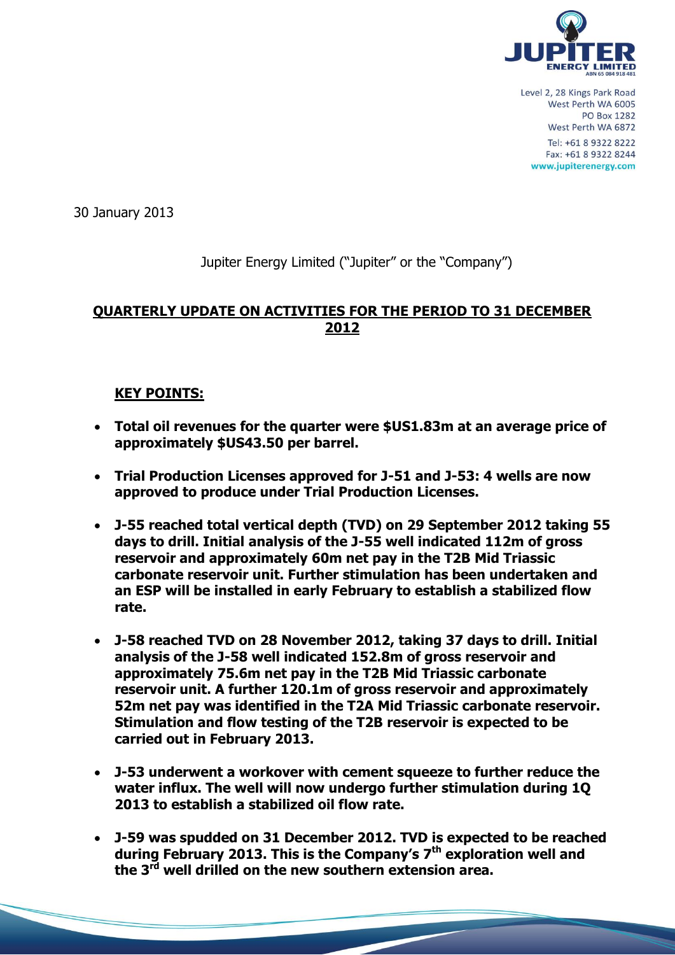

30 January 2013

## Jupiter Energy Limited ("Jupiter" or the "Company")

## **QUARTERLY UPDATE ON ACTIVITIES FOR THE PERIOD TO 31 DECEMBER 2012**

### **KEY POINTS:**

- **Total oil revenues for the quarter were \$US1.83m at an average price of approximately \$US43.50 per barrel.**
- **Trial Production Licenses approved for J-51 and J-53: 4 wells are now approved to produce under Trial Production Licenses.**
- **J-55 reached total vertical depth (TVD) on 29 September 2012 taking 55 days to drill. Initial analysis of the J-55 well indicated 112m of gross reservoir and approximately 60m net pay in the T2B Mid Triassic carbonate reservoir unit. Further stimulation has been undertaken and an ESP will be installed in early February to establish a stabilized flow rate.**
- **J-58 reached TVD on 28 November 2012, taking 37 days to drill. Initial analysis of the J-58 well indicated 152.8m of gross reservoir and approximately 75.6m net pay in the T2B Mid Triassic carbonate reservoir unit. A further 120.1m of gross reservoir and approximately 52m net pay was identified in the T2A Mid Triassic carbonate reservoir. Stimulation and flow testing of the T2B reservoir is expected to be carried out in February 2013.**
- **J-53 underwent a workover with cement squeeze to further reduce the water influx. The well will now undergo further stimulation during 1Q 2013 to establish a stabilized oil flow rate.**
- **J-59 was spudded on 31 December 2012. TVD is expected to be reached during February 2013. This is the Company's 7th exploration well and the 3rd well drilled on the new southern extension area.**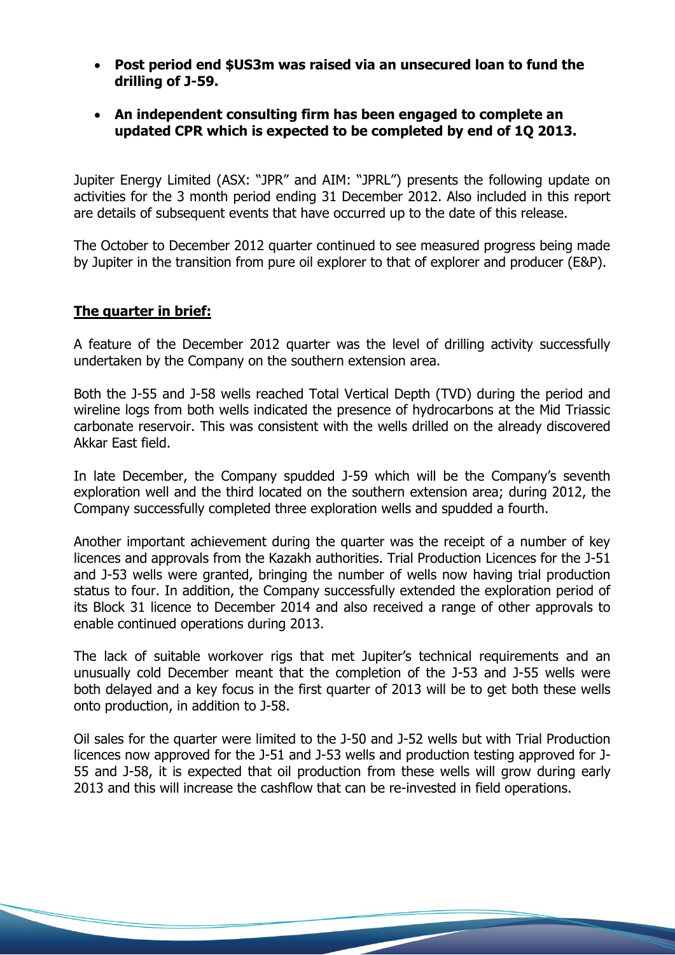- **Post period end \$US3m was raised via an unsecured loan to fund the drilling of J-59.**
- **An independent consulting firm has been engaged to complete an updated CPR which is expected to be completed by end of 1Q 2013.**

Jupiter Energy Limited (ASX: "JPR" and AIM: "JPRL") presents the following update on activities for the 3 month period ending 31 December 2012. Also included in this report are details of subsequent events that have occurred up to the date of this release.

The October to December 2012 quarter continued to see measured progress being made by Jupiter in the transition from pure oil explorer to that of explorer and producer (E&P).

### **The quarter in brief:**

A feature of the December 2012 quarter was the level of drilling activity successfully undertaken by the Company on the southern extension area.

Both the J-55 and J-58 wells reached Total Vertical Depth (TVD) during the period and wireline logs from both wells indicated the presence of hydrocarbons at the Mid Triassic carbonate reservoir. This was consistent with the wells drilled on the already discovered Akkar East field.

In late December, the Company spudded J-59 which will be the Company's seventh exploration well and the third located on the southern extension area; during 2012, the Company successfully completed three exploration wells and spudded a fourth.

Another important achievement during the quarter was the receipt of a number of key licences and approvals from the Kazakh authorities. Trial Production Licences for the J-51 and J-53 wells were granted, bringing the number of wells now having trial production status to four. In addition, the Company successfully extended the exploration period of its Block 31 licence to December 2014 and also received a range of other approvals to enable continued operations during 2013.

The lack of suitable workover rigs that met Jupiter's technical requirements and an unusually cold December meant that the completion of the J-53 and J-55 wells were both delayed and a key focus in the first quarter of 2013 will be to get both these wells onto production, in addition to J-58.

Oil sales for the quarter were limited to the J-50 and J-52 wells but with Trial Production licences now approved for the J-51 and J-53 wells and production testing approved for J-55 and J-58, it is expected that oil production from these wells will grow during early 2013 and this will increase the cashflow that can be re-invested in field operations.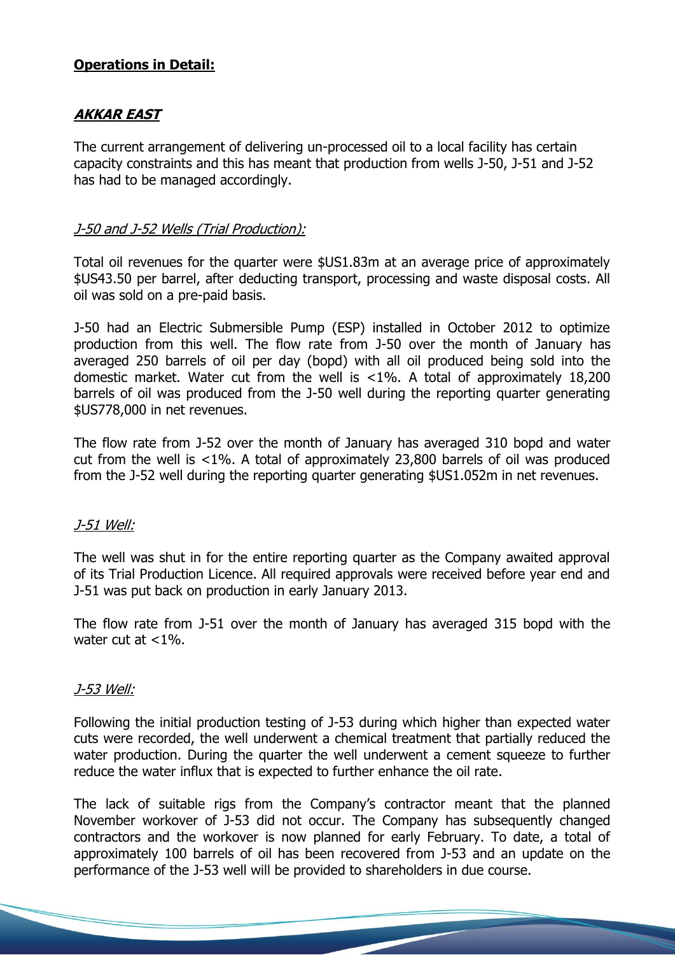### **Operations in Detail:**

# **AKKAR EAST**

The current arrangement of delivering un-processed oil to a local facility has certain capacity constraints and this has meant that production from wells J-50, J-51 and J-52 has had to be managed accordingly.

## J-50 and J-52 Wells (Trial Production):

Total oil revenues for the quarter were \$US1.83m at an average price of approximately \$US43.50 per barrel, after deducting transport, processing and waste disposal costs. All oil was sold on a pre-paid basis.

J-50 had an Electric Submersible Pump (ESP) installed in October 2012 to optimize production from this well. The flow rate from J-50 over the month of January has averaged 250 barrels of oil per day (bopd) with all oil produced being sold into the domestic market. Water cut from the well is <1%. A total of approximately 18,200 barrels of oil was produced from the J-50 well during the reporting quarter generating \$US778,000 in net revenues.

The flow rate from J-52 over the month of January has averaged 310 bopd and water cut from the well is <1%. A total of approximately 23,800 barrels of oil was produced from the J-52 well during the reporting quarter generating \$US1.052m in net revenues.

### J-51 Well:

The well was shut in for the entire reporting quarter as the Company awaited approval of its Trial Production Licence. All required approvals were received before year end and J-51 was put back on production in early January 2013.

The flow rate from J-51 over the month of January has averaged 315 bopd with the water cut at  $<1\%$ .

### J-53 Well:

Following the initial production testing of J-53 during which higher than expected water cuts were recorded, the well underwent a chemical treatment that partially reduced the water production. During the quarter the well underwent a cement squeeze to further reduce the water influx that is expected to further enhance the oil rate.

The lack of suitable rigs from the Company's contractor meant that the planned November workover of J-53 did not occur. The Company has subsequently changed contractors and the workover is now planned for early February. To date, a total of approximately 100 barrels of oil has been recovered from J-53 and an update on the performance of the J-53 well will be provided to shareholders in due course.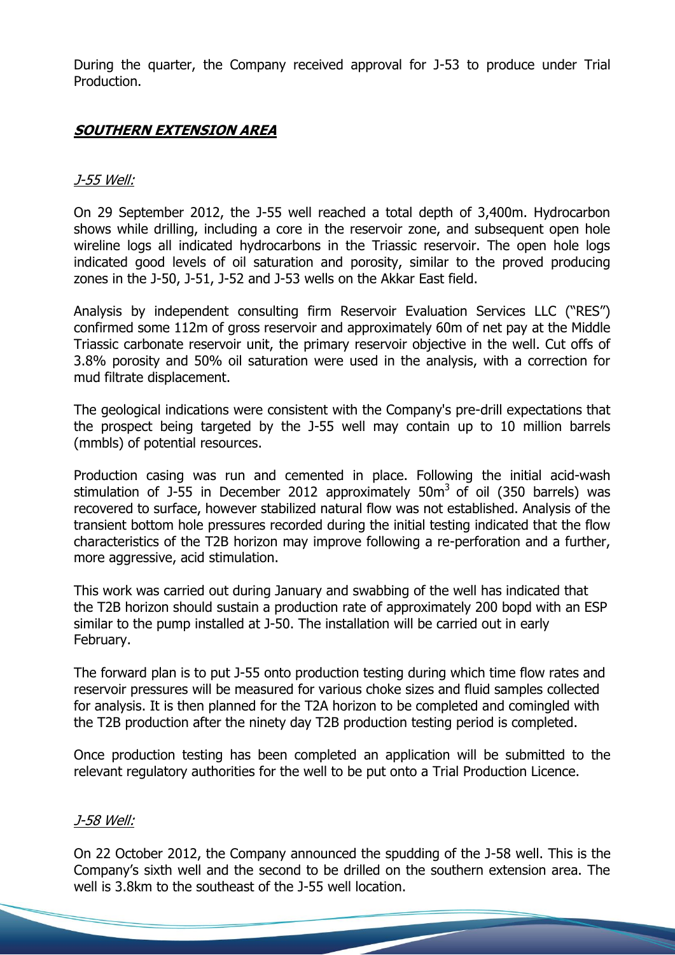During the quarter, the Company received approval for J-53 to produce under Trial Production.

# **SOUTHERN EXTENSION AREA**

### J-55 Well:

On 29 September 2012, the J-55 well reached a total depth of 3,400m. Hydrocarbon shows while drilling, including a core in the reservoir zone, and subsequent open hole wireline logs all indicated hydrocarbons in the Triassic reservoir. The open hole logs indicated good levels of oil saturation and porosity, similar to the proved producing zones in the J-50, J-51, J-52 and J-53 wells on the Akkar East field.

Analysis by independent consulting firm Reservoir Evaluation Services LLC ("RES") confirmed some 112m of gross reservoir and approximately 60m of net pay at the Middle Triassic carbonate reservoir unit, the primary reservoir objective in the well. Cut offs of 3.8% porosity and 50% oil saturation were used in the analysis, with a correction for mud filtrate displacement.

The geological indications were consistent with the Company's pre-drill expectations that the prospect being targeted by the J-55 well may contain up to 10 million barrels (mmbls) of potential resources.

Production casing was run and cemented in place. Following the initial acid-wash stimulation of J-55 in December 2012 approximately 50 $m<sup>3</sup>$  of oil (350 barrels) was recovered to surface, however stabilized natural flow was not established. Analysis of the transient bottom hole pressures recorded during the initial testing indicated that the flow characteristics of the T2B horizon may improve following a re-perforation and a further, more aggressive, acid stimulation.

This work was carried out during January and swabbing of the well has indicated that the T2B horizon should sustain a production rate of approximately 200 bopd with an ESP similar to the pump installed at J-50. The installation will be carried out in early February.

The forward plan is to put J-55 onto production testing during which time flow rates and reservoir pressures will be measured for various choke sizes and fluid samples collected for analysis. It is then planned for the T2A horizon to be completed and comingled with the T2B production after the ninety day T2B production testing period is completed.

Once production testing has been completed an application will be submitted to the relevant regulatory authorities for the well to be put onto a Trial Production Licence.

### J-58 Well:

On 22 October 2012, the Company announced the spudding of the J-58 well. This is the Company's sixth well and the second to be drilled on the southern extension area. The well is 3.8km to the southeast of the J-55 well location.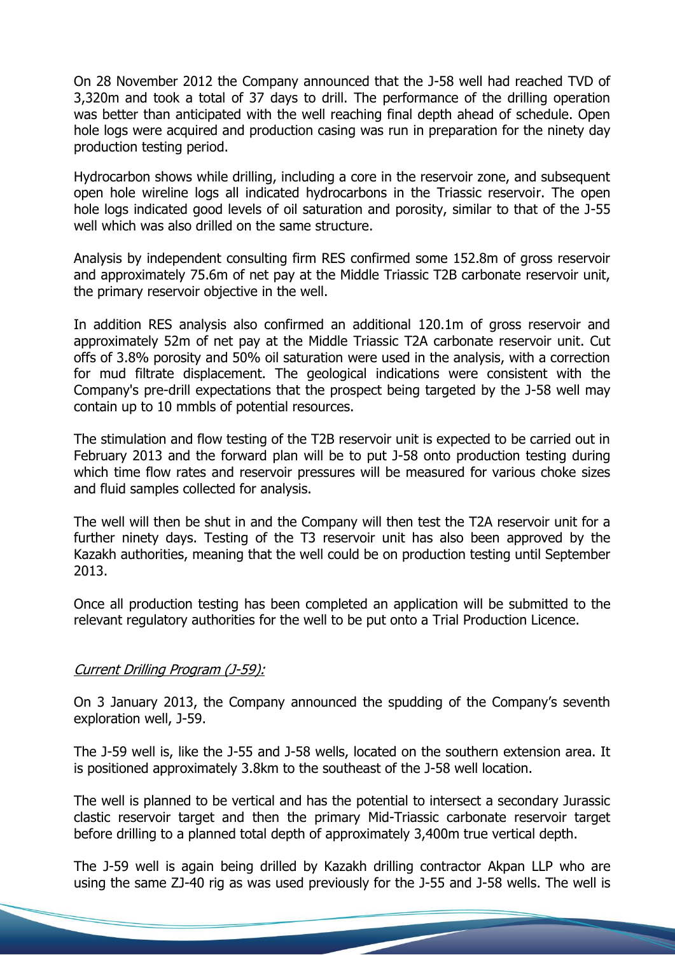On 28 November 2012 the Company announced that the J-58 well had reached TVD of 3,320m and took a total of 37 days to drill. The performance of the drilling operation was better than anticipated with the well reaching final depth ahead of schedule. Open hole logs were acquired and production casing was run in preparation for the ninety day production testing period.

Hydrocarbon shows while drilling, including a core in the reservoir zone, and subsequent open hole wireline logs all indicated hydrocarbons in the Triassic reservoir. The open hole logs indicated good levels of oil saturation and porosity, similar to that of the J-55 well which was also drilled on the same structure.

Analysis by independent consulting firm RES confirmed some 152.8m of gross reservoir and approximately 75.6m of net pay at the Middle Triassic T2B carbonate reservoir unit, the primary reservoir objective in the well.

In addition RES analysis also confirmed an additional 120.1m of gross reservoir and approximately 52m of net pay at the Middle Triassic T2A carbonate reservoir unit. Cut offs of 3.8% porosity and 50% oil saturation were used in the analysis, with a correction for mud filtrate displacement. The geological indications were consistent with the Company's pre-drill expectations that the prospect being targeted by the J-58 well may contain up to 10 mmbls of potential resources.

The stimulation and flow testing of the T2B reservoir unit is expected to be carried out in February 2013 and the forward plan will be to put J-58 onto production testing during which time flow rates and reservoir pressures will be measured for various choke sizes and fluid samples collected for analysis.

The well will then be shut in and the Company will then test the T2A reservoir unit for a further ninety days. Testing of the T3 reservoir unit has also been approved by the Kazakh authorities, meaning that the well could be on production testing until September 2013.

Once all production testing has been completed an application will be submitted to the relevant regulatory authorities for the well to be put onto a Trial Production Licence.

#### Current Drilling Program (J-59):

On 3 January 2013, the Company announced the spudding of the Company's seventh exploration well, J-59.

The J-59 well is, like the J-55 and J-58 wells, located on the southern extension area. It is positioned approximately 3.8km to the southeast of the J-58 well location.

The well is planned to be vertical and has the potential to intersect a secondary Jurassic clastic reservoir target and then the primary Mid-Triassic carbonate reservoir target before drilling to a planned total depth of approximately 3,400m true vertical depth.

The J-59 well is again being drilled by Kazakh drilling contractor Akpan LLP who are using the same ZJ-40 rig as was used previously for the J-55 and J-58 wells. The well is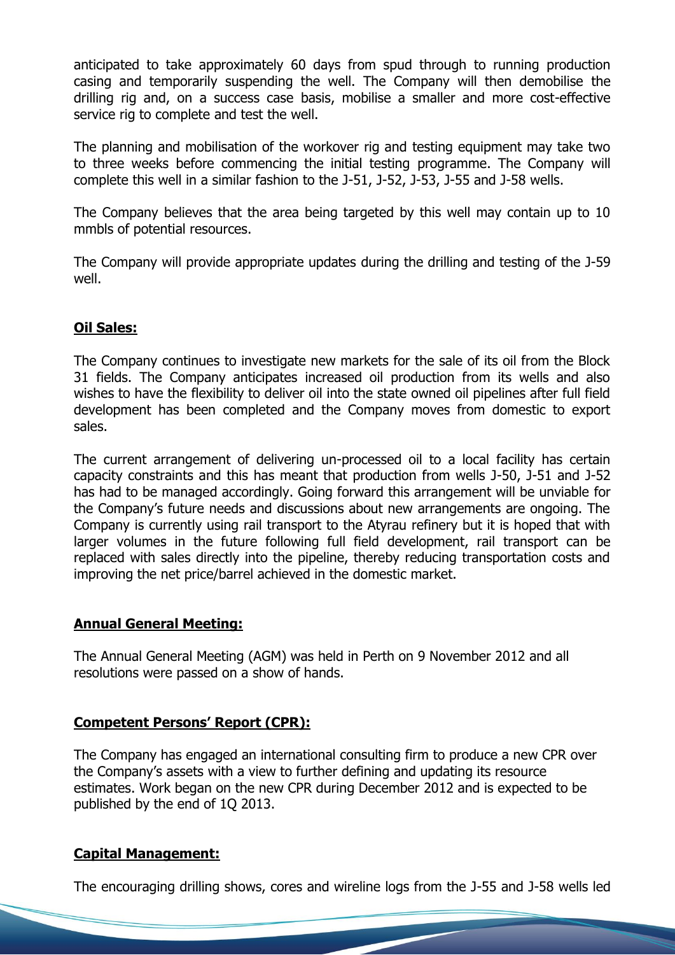anticipated to take approximately 60 days from spud through to running production casing and temporarily suspending the well. The Company will then demobilise the drilling rig and, on a success case basis, mobilise a smaller and more cost-effective service rig to complete and test the well.

The planning and mobilisation of the workover rig and testing equipment may take two to three weeks before commencing the initial testing programme. The Company will complete this well in a similar fashion to the J-51, J-52, J-53, J-55 and J-58 wells.

The Company believes that the area being targeted by this well may contain up to 10 mmbls of potential resources.

The Company will provide appropriate updates during the drilling and testing of the J-59 well.

### **Oil Sales:**

The Company continues to investigate new markets for the sale of its oil from the Block 31 fields. The Company anticipates increased oil production from its wells and also wishes to have the flexibility to deliver oil into the state owned oil pipelines after full field development has been completed and the Company moves from domestic to export sales.

The current arrangement of delivering un-processed oil to a local facility has certain capacity constraints and this has meant that production from wells J-50, J-51 and J-52 has had to be managed accordingly. Going forward this arrangement will be unviable for the Company's future needs and discussions about new arrangements are ongoing. The Company is currently using rail transport to the Atyrau refinery but it is hoped that with larger volumes in the future following full field development, rail transport can be replaced with sales directly into the pipeline, thereby reducing transportation costs and improving the net price/barrel achieved in the domestic market.

### **Annual General Meeting:**

The Annual General Meeting (AGM) was held in Perth on 9 November 2012 and all resolutions were passed on a show of hands.

### **Competent Persons' Report (CPR):**

The Company has engaged an international consulting firm to produce a new CPR over the Company's assets with a view to further defining and updating its resource estimates. Work began on the new CPR during December 2012 and is expected to be published by the end of 1Q 2013.

### **Capital Management:**

The encouraging drilling shows, cores and wireline logs from the J-55 and J-58 wells led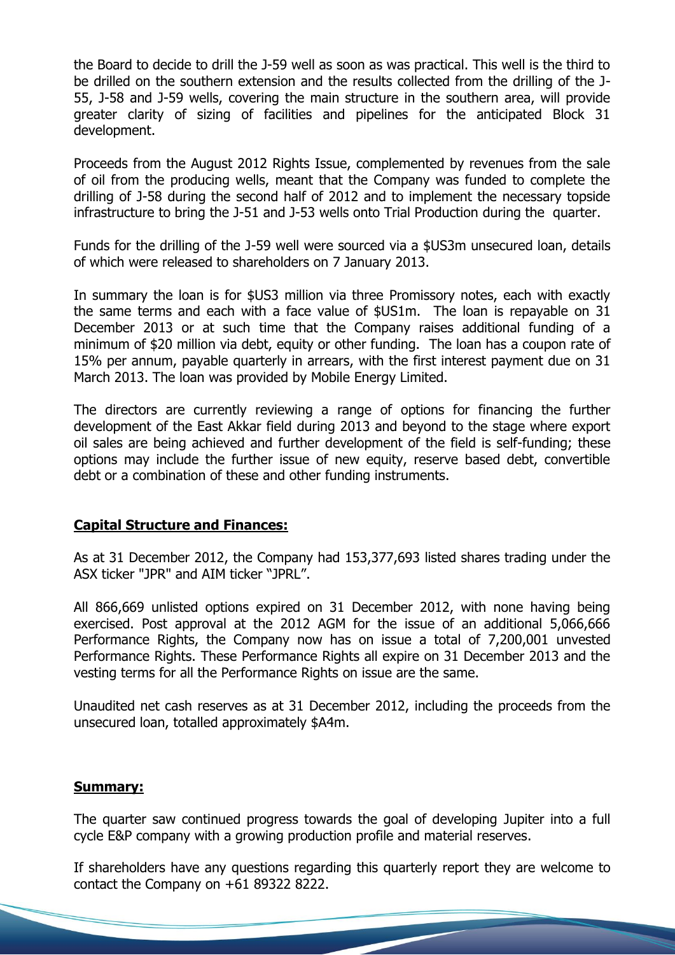the Board to decide to drill the J-59 well as soon as was practical. This well is the third to be drilled on the southern extension and the results collected from the drilling of the J-55, J-58 and J-59 wells, covering the main structure in the southern area, will provide greater clarity of sizing of facilities and pipelines for the anticipated Block 31 development.

Proceeds from the August 2012 Rights Issue, complemented by revenues from the sale of oil from the producing wells, meant that the Company was funded to complete the drilling of J-58 during the second half of 2012 and to implement the necessary topside infrastructure to bring the J-51 and J-53 wells onto Trial Production during the quarter.

Funds for the drilling of the J-59 well were sourced via a \$US3m unsecured loan, details of which were released to shareholders on 7 January 2013.

In summary the loan is for \$US3 million via three Promissory notes, each with exactly the same terms and each with a face value of \$US1m. The loan is repayable on 31 December 2013 or at such time that the Company raises additional funding of a minimum of \$20 million via debt, equity or other funding. The loan has a coupon rate of 15% per annum, payable quarterly in arrears, with the first interest payment due on 31 March 2013. The loan was provided by Mobile Energy Limited.

The directors are currently reviewing a range of options for financing the further development of the East Akkar field during 2013 and beyond to the stage where export oil sales are being achieved and further development of the field is self-funding; these options may include the further issue of new equity, reserve based debt, convertible debt or a combination of these and other funding instruments.

#### **Capital Structure and Finances:**

As at 31 December 2012, the Company had 153,377,693 listed shares trading under the ASX ticker "JPR" and AIM ticker "JPRL".

All 866,669 unlisted options expired on 31 December 2012, with none having being exercised. Post approval at the 2012 AGM for the issue of an additional 5,066,666 Performance Rights, the Company now has on issue a total of 7,200,001 unvested Performance Rights. These Performance Rights all expire on 31 December 2013 and the vesting terms for all the Performance Rights on issue are the same.

Unaudited net cash reserves as at 31 December 2012, including the proceeds from the unsecured loan, totalled approximately \$A4m.

#### **Summary:**

The quarter saw continued progress towards the goal of developing Jupiter into a full cycle E&P company with a growing production profile and material reserves.

If shareholders have any questions regarding this quarterly report they are welcome to contact the Company on +61 89322 8222.